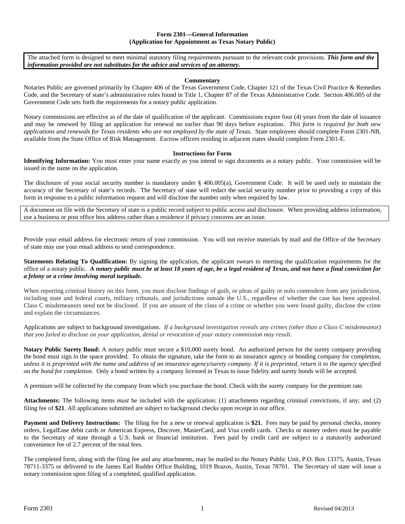## **Form 2301—General Information (Application for Appointment as Texas Notary Public)**

The attached form is designed to meet minimal statutory filing requirements pursuant to the relevant code provisions. *This form and the information provided are not substitutes for the advice and services of an attorney.* 

## **Commentary**

Notaries Public are governed primarily by Chapter 406 of the Texas Government Code, Chapter 121 of the Texas Civil Practice & Remedies Code, and the Secretary of state's administrative rules found in Title 1, Chapter 87 of the Texas Administrative Code. Section 406.005 of the Government Code sets forth the requirements for a notary public application.

Notary commissions are effective as of the date of qualification of the applicant. Commissions expire four (4) years from the date of issuance and may be renewed by filing an application for renewal no earlier than 90 days before expiration. *This form is required for both new applications and renewals for Texas residents who are not employed by the state of Texas.* State employees should complete Form 2301-NB, available from the State Office of Risk Management. Escrow officers residing in adjacent states should complete Form 2301-E.

## **Instructions for Form**

**Identifying Information:** You must enter your name exactly as you intend to sign documents as a notary public. Your commission will be issued in the name on the application.

The disclosure of your social security number is mandatory under § 406.005(a), Government Code. It will be used only to maintain the accuracy of the Secretary of state's records. The Secretary of state will redact the social security number prior to providing a copy of this form in response to a public information request and will disclose the number only when required by law.

A document on file with the Secretary of state is a public record subject to public access and disclosure. When providing address information, use a business or post office box address rather than a residence if privacy concerns are an issue.

Provide your email address for electronic return of your commission. You will not receive materials by mail and the Office of the Secretary of state may use your email address to send correspondence.

**Statements Relating To Qualification:** By signing the application, the applicant swears to meeting the qualification requirements for the office of a notary public. *A notary public must be at least 18 years of age, be a legal resident of Texas, and not have a final conviction for a felony or a crime involving moral turpitude.* 

When reporting criminal history on this form, you must disclose findings of guilt, or pleas of guilty or nolo contendere from any jurisdiction, including state and federal courts, military tribunals, and jurisdictions outside the U.S., regardless of whether the case has been appealed. Class C misdemeanors need not be disclosed. If you are unsure of the class of a crime or whether you were found guilty, disclose the crime and explain the circumstances.

Applications are subject to background investigations. *If a background investigation reveals any crimes (other than a Class C misdemeanor) that you failed to disclose on your application, denial or revocation of your notary commission may result.* 

**Notary Public Surety Bond:** A notary public must secure a \$10,000 surety bond. An authorized person for the surety company providing the bond must sign in the space provided. To obtain the signature, take the form to an insurance agency or bonding company for completion, *unless it is preprinted with the name and address of an insurance agency/surety company. If it is preprinted, return it to the agency specified on the bond for completion*. Only a bond written by a company licensed in Texas to issue fidelity and surety bonds will be accepted.

A premium will be collected by the company from which you purchase the bond. Check with the surety company for the premium rate.

**Attachments:** The following items *must* be included with the application: (1) attachments regarding criminal convictions, if any; and (2) filing fee of **\$21**. All applications submitted are subject to background checks upon receipt in our office.

**Payment and Delivery Instructions:** The filing fee for a new or renewal application is **\$21.** Fees may be paid by personal checks, money orders, LegalEase debit cards or American Express, Discover, MasterCard, and Visa credit cards. Checks or money orders must be payable to the Secretary of state through a U.S. bank or financial institution. Fees paid by credit card are subject to a statutorily authorized convenience fee of 2.7 percent of the total fees.

The completed form, along with the filing fee and any attachments, may be mailed to the Notary Public Unit, P.O. Box 13375, Austin, Texas 78711-3375 or delivered to the James Earl Rudder Office Building, 1019 Brazos, Austin, Texas 78701. The Secretary of state will issue a notary commission upon filing of a completed, qualified application.